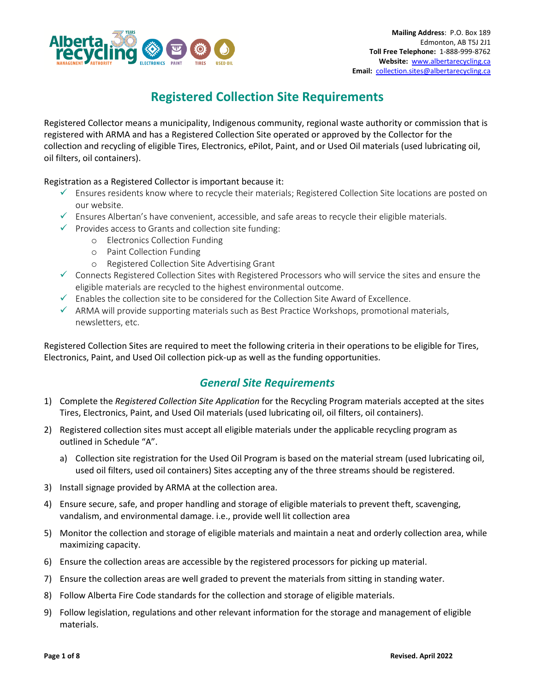

# **Registered Collection Site Requirements**

Registered Collector means a municipality, Indigenous community, regional waste authority or commission that is registered with ARMA and has a Registered Collection Site operated or approved by the Collector for the collection and recycling of eligible Tires, Electronics, ePilot, Paint, and or Used Oil materials (used lubricating oil, oil filters, oil containers).

Registration as a Registered Collector is important because it:

- ✓ Ensures residents know where to recycle their materials; Registered Collection Site locations are posted on our website.
- $\checkmark$  Ensures Albertan's have convenient, accessible, and safe areas to recycle their eligible materials.
- $\checkmark$  Provides access to Grants and collection site funding:
	- o Electronics Collection Funding
		- o Paint Collection Funding
		- o Registered Collection Site Advertising Grant
- ✓ Connects Registered Collection Sites with Registered Processors who will service the sites and ensure the eligible materials are recycled to the highest environmental outcome.
- $\checkmark$  Enables the collection site to be considered for the Collection Site Award of Excellence.
- $\checkmark$  ARMA will provide supporting materials such as Best Practice Workshops, promotional materials, newsletters, etc.

Registered Collection Sites are required to meet the following criteria in their operations to be eligible for Tires, Electronics, Paint, and Used Oil collection pick-up as well as the funding opportunities.

## *General Site Requirements*

- 1) Complete the *Registered Collection Site Application* for the Recycling Program materials accepted at the sites Tires, Electronics, Paint, and Used Oil materials (used lubricating oil, oil filters, oil containers).
- 2) Registered collection sites must accept all eligible materials under the applicable recycling program as outlined in Schedule "A".
	- a) Collection site registration for the Used Oil Program is based on the material stream (used lubricating oil, used oil filters, used oil containers) Sites accepting any of the three streams should be registered.
- 3) Install signage provided by ARMA at the collection area.
- 4) Ensure secure, safe, and proper handling and storage of eligible materials to prevent theft, scavenging, vandalism, and environmental damage. i.e., provide well lit collection area
- 5) Monitor the collection and storage of eligible materials and maintain a neat and orderly collection area, while maximizing capacity.
- 6) Ensure the collection areas are accessible by the registered processors for picking up material.
- 7) Ensure the collection areas are well graded to prevent the materials from sitting in standing water.
- 8) Follow Alberta Fire Code standards for the collection and storage of eligible materials.
- 9) Follow legislation, regulations and other relevant information for the storage and management of eligible materials.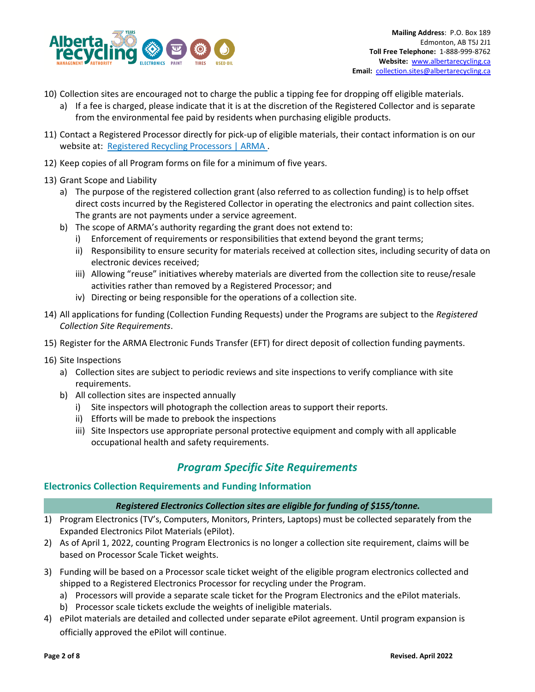

- 10) Collection sites are encouraged not to charge the public a tipping fee for dropping off eligible materials.
	- a) If a fee is charged, please indicate that it is at the discretion of the Registered Collector and is separate from the environmental fee paid by residents when purchasing eligible products.
- 11) Contact a Registered Processor directly for pick-up of eligible materials, their contact information is on our website at: [Registered Recycling Processors | ARMA](https://www.albertarecycling.ca/processors/) .
- 12) Keep copies of all Program forms on file for a minimum of five years.
- 13) Grant Scope and Liability
	- a) The purpose of the registered collection grant (also referred to as collection funding) is to help offset direct costs incurred by the Registered Collector in operating the electronics and paint collection sites. The grants are not payments under a service agreement.
	- b) The scope of ARMA's authority regarding the grant does not extend to:
		- i) Enforcement of requirements or responsibilities that extend beyond the grant terms;
		- ii) Responsibility to ensure security for materials received at collection sites, including security of data on electronic devices received;
		- iii) Allowing "reuse" initiatives whereby materials are diverted from the collection site to reuse/resale activities rather than removed by a Registered Processor; and
		- iv) Directing or being responsible for the operations of a collection site.
- 14) All applications for funding (Collection Funding Requests) under the Programs are subject to the *Registered Collection Site Requirements*.
- 15) Register for the ARMA Electronic Funds Transfer (EFT) for direct deposit of collection funding payments.
- 16) Site Inspections
	- a) Collection sites are subject to periodic reviews and site inspections to verify compliance with site requirements.
	- b) All collection sites are inspected annually
		- i) Site inspectors will photograph the collection areas to support their reports.
		- ii) Efforts will be made to prebook the inspections
		- iii) Site Inspectors use appropriate personal protective equipment and comply with all applicable occupational health and safety requirements.

## *Program Specific Site Requirements*

### **Electronics Collection Requirements and Funding Information**

### *Registered Electronics Collection sites are eligible for funding of \$155/tonne.*

- 1) Program Electronics (TV's, Computers, Monitors, Printers, Laptops) must be collected separately from the Expanded Electronics Pilot Materials (ePilot).
- 2) As of April 1, 2022, counting Program Electronics is no longer a collection site requirement, claims will be based on Processor Scale Ticket weights.
- 3) Funding will be based on a Processor scale ticket weight of the eligible program electronics collected and shipped to a Registered Electronics Processor for recycling under the Program.
	- a) Processors will provide a separate scale ticket for the Program Electronics and the ePilot materials.
	- b) Processor scale tickets exclude the weights of ineligible materials.
- 4) ePilot materials are detailed and collected under separate ePilot agreement. Until program expansion is officially approved the ePilot will continue.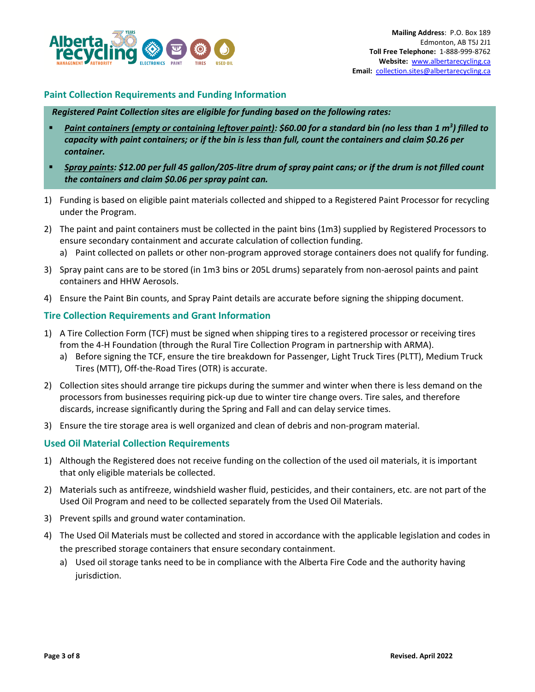

### **Paint Collection Requirements and Funding Information**

#### *Registered Paint Collection sites are eligible for funding based on the following rates:*

- *Paint containers (empty or containing leftover paint): \$60.00 for a standard bin (no less than 1 m<sup>3</sup>) filled to capacity with paint containers; or if the bin is less than full, count the containers and claim \$0.26 per container.*
- *Spray paints: \$12.00 per full 45 gallon/205-litre drum of spray paint cans; or if the drum is not filled count the containers and claim \$0.06 per spray paint can.*
- 1) Funding is based on eligible paint materials collected and shipped to a Registered Paint Processor for recycling under the Program.
- 2) The paint and paint containers must be collected in the paint bins (1m3) supplied by Registered Processors to ensure secondary containment and accurate calculation of collection funding.
	- a) Paint collected on pallets or other non-program approved storage containers does not qualify for funding.
- 3) Spray paint cans are to be stored (in 1m3 bins or 205L drums) separately from non-aerosol paints and paint containers and HHW Aerosols.
- 4) Ensure the Paint Bin counts, and Spray Paint details are accurate before signing the shipping document.

### **Tire Collection Requirements and Grant Information**

- 1) A Tire Collection Form (TCF) must be signed when shipping tires to a registered processor or receiving tires from the 4-H Foundation (through the Rural Tire Collection Program in partnership with ARMA).
	- a) Before signing the TCF, ensure the tire breakdown for Passenger, Light Truck Tires (PLTT), Medium Truck Tires (MTT), Off-the-Road Tires (OTR) is accurate.
- 2) Collection sites should arrange tire pickups during the summer and winter when there is less demand on the processors from businesses requiring pick-up due to winter tire change overs. Tire sales, and therefore discards, increase significantly during the Spring and Fall and can delay service times.
- 3) Ensure the tire storage area is well organized and clean of debris and non-program material.

#### **Used Oil Material Collection Requirements**

- 1) Although the Registered does not receive funding on the collection of the used oil materials, it is important that only eligible materials be collected.
- 2) Materials such as antifreeze, windshield washer fluid, pesticides, and their containers, etc. are not part of the Used Oil Program and need to be collected separately from the Used Oil Materials.
- 3) Prevent spills and ground water contamination.
- 4) The Used Oil Materials must be collected and stored in accordance with the applicable legislation and codes in the prescribed storage containers that ensure secondary containment.
	- a) Used oil storage tanks need to be in compliance with the Alberta Fire Code and the authority having jurisdiction.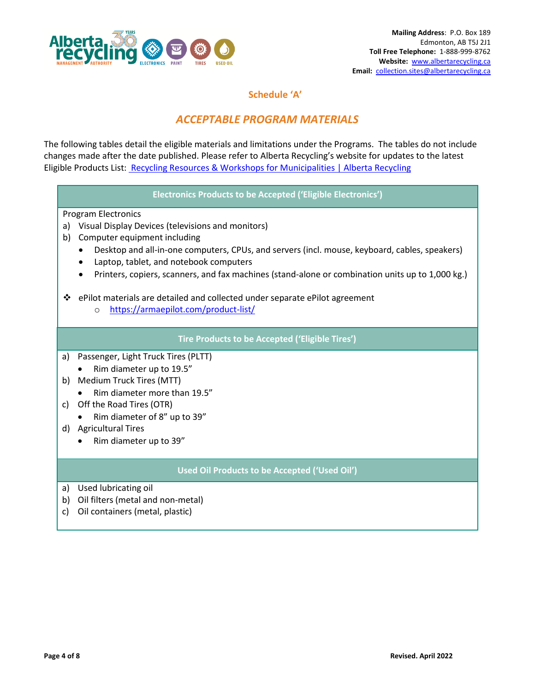

### **Schedule 'A'**

## *ACCEPTABLE PROGRAM MATERIALS*

The following tables detail the eligible materials and limitations under the Programs. The tables do not include changes made after the date published. Please refer to Alberta Recycling's website for updates to the latest Eligible Products List: [Recycling Resources & Workshops for Municipalities | Alberta Recycling](https://www.albertarecycling.ca/municipalities/)

### **Electronics Products to be Accepted ('Eligible Electronics')**

Program Electronics

- a) Visual Display Devices (televisions and monitors)
- b) Computer equipment including
	- Desktop and all-in-one computers, CPUs, and servers (incl. mouse, keyboard, cables, speakers)
	- Laptop, tablet, and notebook computers
	- Printers, copiers, scanners, and fax machines (stand-alone or combination units up to 1,000 kg.)

❖ ePilot materials are detailed and collected under separate ePilot agreement

o <https://armaepilot.com/product-list/>

### **Tire Products to be Accepted ('Eligible Tires')**

- a) Passenger, Light Truck Tires (PLTT)
	- Rim diameter up to 19.5"
- b) Medium Truck Tires (MTT)
	- Rim diameter more than 19.5"
- c) Off the Road Tires (OTR)
- Rim diameter of 8" up to 39"
- d) Agricultural Tires
	- Rim diameter up to 39"

### **Used Oil Products to be Accepted ('Used Oil')**

- a) Used lubricating oil
- b) Oil filters (metal and non-metal)
- c) Oil containers (metal, plastic)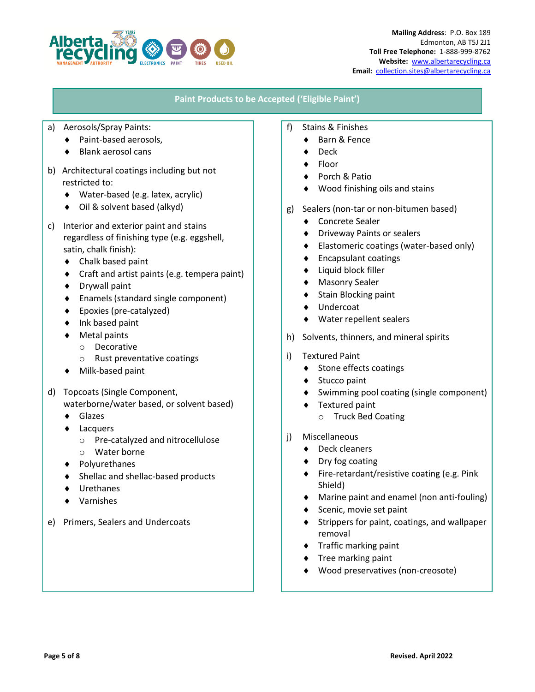

### **Paint Products to be Accepted ('Eligible Paint')**

- a) Aerosols/Spray Paints:
	- Paint-based aerosols,
	- Blank aerosol cans
- b) Architectural coatings including but not restricted to:
	- Water-based (e.g. latex, acrylic)
	- ◆ Oil & solvent based (alkyd)
- c) Interior and exterior paint and stains regardless of finishing type (e.g. eggshell, satin, chalk finish):
	- ◆ Chalk based paint
	- Craft and artist paints (e.g. tempera paint)
	- ◆ Drywall paint
	- Enamels (standard single component)
	- ◆ Epoxies (pre-catalyzed)
	- ◆ Ink based paint
	- Metal paints
		- o Decorative
		- o Rust preventative coatings
	- ◆ Milk-based paint
- d) Topcoats (Single Component,
	- waterborne/water based, or solvent based)
	- Glazes
	- Lacquers
		- o Pre-catalyzed and nitrocellulose
		- o Water borne
	- Polyurethanes
	- ◆ Shellac and shellac-based products
	- Urethanes
	- Varnishes
- e) Primers, Sealers and Undercoats
- f) Stains & Finishes
	- Barn & Fence
	- Deck
	- Floor
	- Porch & Patio
	- Wood finishing oils and stains
- g) Sealers (non-tar or non-bitumen based)
	- ◆ Concrete Sealer
	- Driveway Paints or sealers
	- ◆ Elastomeric coatings (water-based only)
	- ◆ Encapsulant coatings
	- Liquid block filler
	- Masonry Sealer
	- $\bullet$  Stain Blocking paint
	- Undercoat
	- Water repellent sealers
- h) Solvents, thinners, and mineral spirits
- i) Textured Paint
	- Stone effects coatings
	- Stucco paint
	- Swimming pool coating (single component)
	- Textured paint
		- o Truck Bed Coating
- j) Miscellaneous
	- ◆ Deck cleaners
	- ◆ Dry fog coating
	- ◆ Fire-retardant/resistive coating (e.g. Pink Shield)
	- Marine paint and enamel (non anti-fouling)
	- Scenic, movie set paint
	- Strippers for paint, coatings, and wallpaper removal
	- $\bullet$  Traffic marking paint
	- $\bullet$  Tree marking paint
	- Wood preservatives (non-creosote)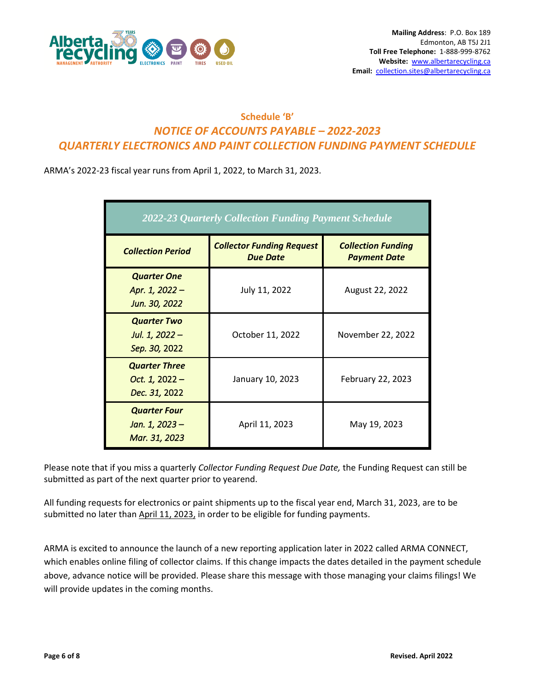

## **Schedule 'B'** *NOTICE OF ACCOUNTS PAYABLE – 2022-2023 QUARTERLY ELECTRONICS AND PAINT COLLECTION FUNDING PAYMENT SCHEDULE*

ARMA's 2022-23 fiscal year runs from April 1, 2022, to March 31, 2023.

| 2022-23 Quarterly Collection Funding Payment Schedule     |                                                     |                                                  |
|-----------------------------------------------------------|-----------------------------------------------------|--------------------------------------------------|
| <b>Collection Period</b>                                  | <b>Collector Funding Request</b><br><b>Due Date</b> | <b>Collection Funding</b><br><b>Payment Date</b> |
| <b>Quarter One</b><br>Apr. 1, 2022 -<br>Jun. 30, 2022     | July 11, 2022                                       | August 22, 2022                                  |
| <b>Quarter Two</b><br>Jul. 1, 2022 -<br>Sep. 30, 2022     | October 11, 2022                                    | November 22, 2022                                |
| <b>Quarter Three</b><br>Oct. $1, 2022 -$<br>Dec. 31, 2022 | January 10, 2023                                    | February 22, 2023                                |
| <b>Quarter Four</b><br>Jan. 1, 2023 –<br>Mar. 31, 2023    | April 11, 2023                                      | May 19, 2023                                     |

Please note that if you miss a quarterly *Collector Funding Request Due Date,* the Funding Request can still be submitted as part of the next quarter prior to yearend.

All funding requests for electronics or paint shipments up to the fiscal year end, March 31, 2023, are to be submitted no later than April 11, 2023, in order to be eligible for funding payments.

ARMA is excited to announce the launch of a new reporting application later in 2022 called ARMA CONNECT, which enables online filing of collector claims. If this change impacts the dates detailed in the payment schedule above, advance notice will be provided. Please share this message with those managing your claims filings! We will provide updates in the coming months.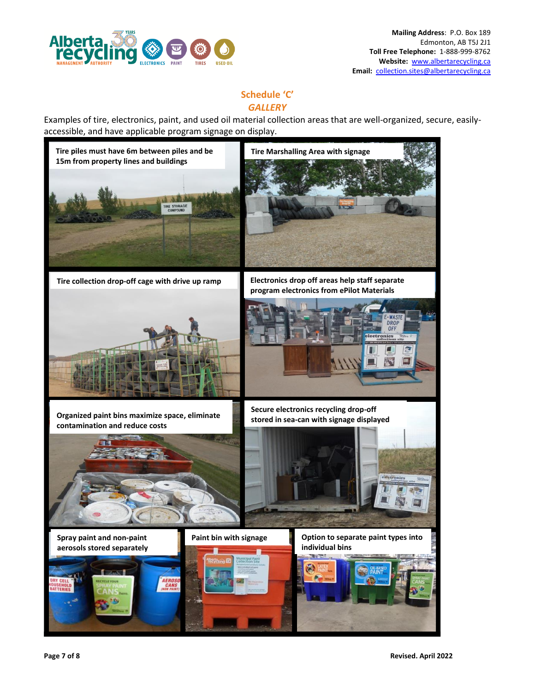

### **Schedule 'C'** *GALLERY*

Examples of tire, electronics, paint, and used oil material collection areas that are well-organized, secure, easilyaccessible, and have applicable program signage on display.